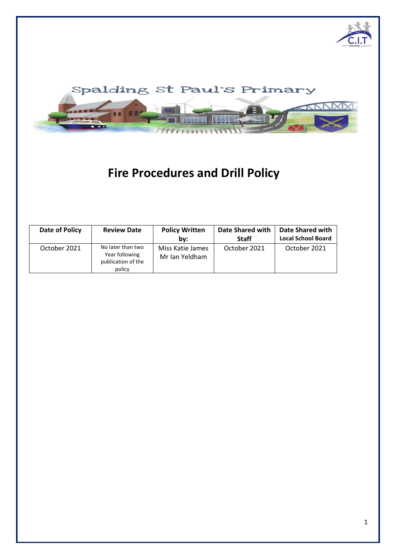



# **Fire Procedures and Drill Policy**

| Date of Policy | <b>Review Date</b>                                                  | <b>Policy Written</b><br>bv:       | Date Shared with<br><b>Staff</b> | <b>Date Shared with</b><br><b>Local School Board</b> |
|----------------|---------------------------------------------------------------------|------------------------------------|----------------------------------|------------------------------------------------------|
| October 2021   | No later than two<br>Year following<br>publication of the<br>policy | Miss Katie James<br>Mr Ian Yeldham | October 2021                     | October 2021                                         |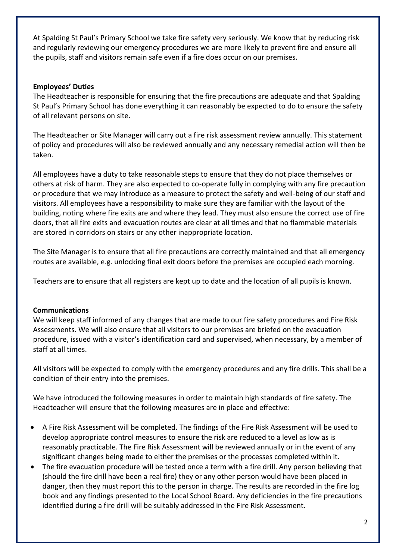At Spalding St Paul's Primary School we take fire safety very seriously. We know that by reducing risk and regularly reviewing our emergency procedures we are more likely to prevent fire and ensure all the pupils, staff and visitors remain safe even if a fire does occur on our premises.

## **Employees' Duties**

The Headteacher is responsible for ensuring that the fire precautions are adequate and that Spalding St Paul's Primary School has done everything it can reasonably be expected to do to ensure the safety of all relevant persons on site.

The Headteacher or Site Manager will carry out a fire risk assessment review annually. This statement of policy and procedures will also be reviewed annually and any necessary remedial action will then be taken.

All employees have a duty to take reasonable steps to ensure that they do not place themselves or others at risk of harm. They are also expected to co-operate fully in complying with any fire precaution or procedure that we may introduce as a measure to protect the safety and well-being of our staff and visitors. All employees have a responsibility to make sure they are familiar with the layout of the building, noting where fire exits are and where they lead. They must also ensure the correct use of fire doors, that all fire exits and evacuation routes are clear at all times and that no flammable materials are stored in corridors on stairs or any other inappropriate location.

The Site Manager is to ensure that all fire precautions are correctly maintained and that all emergency routes are available, e.g. unlocking final exit doors before the premises are occupied each morning.

Teachers are to ensure that all registers are kept up to date and the location of all pupils is known.

## **Communications**

We will keep staff informed of any changes that are made to our fire safety procedures and Fire Risk Assessments. We will also ensure that all visitors to our premises are briefed on the evacuation procedure, issued with a visitor's identification card and supervised, when necessary, by a member of staff at all times.

All visitors will be expected to comply with the emergency procedures and any fire drills. This shall be a condition of their entry into the premises.

We have introduced the following measures in order to maintain high standards of fire safety. The Headteacher will ensure that the following measures are in place and effective:

- A Fire Risk Assessment will be completed. The findings of the Fire Risk Assessment will be used to develop appropriate control measures to ensure the risk are reduced to a level as low as is reasonably practicable. The Fire Risk Assessment will be reviewed annually or in the event of any significant changes being made to either the premises or the processes completed within it.
- The fire evacuation procedure will be tested once a term with a fire drill. Any person believing that (should the fire drill have been a real fire) they or any other person would have been placed in danger, then they must report this to the person in charge. The results are recorded in the fire log book and any findings presented to the Local School Board. Any deficiencies in the fire precautions identified during a fire drill will be suitably addressed in the Fire Risk Assessment.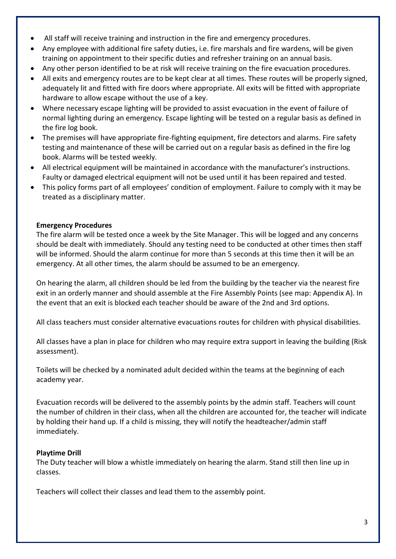- All staff will receive training and instruction in the fire and emergency procedures.
- Any employee with additional fire safety duties, i.e. fire marshals and fire wardens, will be given training on appointment to their specific duties and refresher training on an annual basis.
- Any other person identified to be at risk will receive training on the fire evacuation procedures.
- All exits and emergency routes are to be kept clear at all times. These routes will be properly signed, adequately lit and fitted with fire doors where appropriate. All exits will be fitted with appropriate hardware to allow escape without the use of a key.
- Where necessary escape lighting will be provided to assist evacuation in the event of failure of normal lighting during an emergency. Escape lighting will be tested on a regular basis as defined in the fire log book.
- The premises will have appropriate fire-fighting equipment, fire detectors and alarms. Fire safety testing and maintenance of these will be carried out on a regular basis as defined in the fire log book. Alarms will be tested weekly.
- All electrical equipment will be maintained in accordance with the manufacturer's instructions. Faulty or damaged electrical equipment will not be used until it has been repaired and tested.
- This policy forms part of all employees' condition of employment. Failure to comply with it may be treated as a disciplinary matter.

## **Emergency Procedures**

The fire alarm will be tested once a week by the Site Manager. This will be logged and any concerns should be dealt with immediately. Should any testing need to be conducted at other times then staff will be informed. Should the alarm continue for more than 5 seconds at this time then it will be an emergency. At all other times, the alarm should be assumed to be an emergency.

On hearing the alarm, all children should be led from the building by the teacher via the nearest fire exit in an orderly manner and should assemble at the Fire Assembly Points (see map: Appendix A). In the event that an exit is blocked each teacher should be aware of the 2nd and 3rd options.

All class teachers must consider alternative evacuations routes for children with physical disabilities.

All classes have a plan in place for children who may require extra support in leaving the building (Risk assessment).

Toilets will be checked by a nominated adult decided within the teams at the beginning of each academy year.

Evacuation records will be delivered to the assembly points by the admin staff. Teachers will count the number of children in their class, when all the children are accounted for, the teacher will indicate by holding their hand up. If a child is missing, they will notify the headteacher/admin staff immediately.

## **Playtime Drill**

The Duty teacher will blow a whistle immediately on hearing the alarm. Stand still then line up in classes.

Teachers will collect their classes and lead them to the assembly point.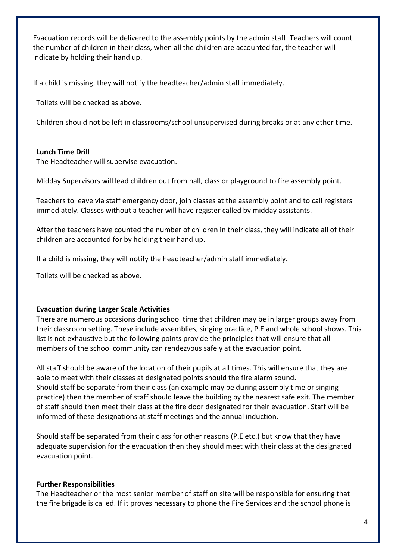Evacuation records will be delivered to the assembly points by the admin staff. Teachers will count the number of children in their class, when all the children are accounted for, the teacher will indicate by holding their hand up.

If a child is missing, they will notify the headteacher/admin staff immediately.

Toilets will be checked as above.

Children should not be left in classrooms/school unsupervised during breaks or at any other time.

#### **Lunch Time Drill**

The Headteacher will supervise evacuation.

Midday Supervisors will lead children out from hall, class or playground to fire assembly point.

Teachers to leave via staff emergency door, join classes at the assembly point and to call registers immediately. Classes without a teacher will have register called by midday assistants.

After the teachers have counted the number of children in their class, they will indicate all of their children are accounted for by holding their hand up.

If a child is missing, they will notify the headteacher/admin staff immediately.

Toilets will be checked as above.

#### **Evacuation during Larger Scale Activities**

There are numerous occasions during school time that children may be in larger groups away from their classroom setting. These include assemblies, singing practice, P.E and whole school shows. This list is not exhaustive but the following points provide the principles that will ensure that all members of the school community can rendezvous safely at the evacuation point.

All staff should be aware of the location of their pupils at all times. This will ensure that they are able to meet with their classes at designated points should the fire alarm sound. Should staff be separate from their class (an example may be during assembly time or singing practice) then the member of staff should leave the building by the nearest safe exit. The member of staff should then meet their class at the fire door designated for their evacuation. Staff will be informed of these designations at staff meetings and the annual induction.

Should staff be separated from their class for other reasons (P.E etc.) but know that they have adequate supervision for the evacuation then they should meet with their class at the designated evacuation point.

#### **Further Responsibilities**

The Headteacher or the most senior member of staff on site will be responsible for ensuring that the fire brigade is called. If it proves necessary to phone the Fire Services and the school phone is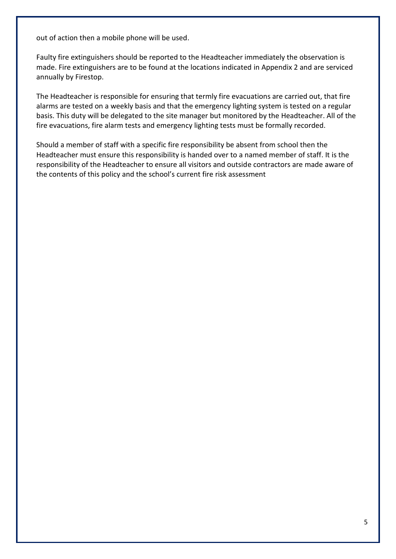out of action then a mobile phone will be used.

Faulty fire extinguishers should be reported to the Headteacher immediately the observation is made. Fire extinguishers are to be found at the locations indicated in Appendix 2 and are serviced annually by Firestop.

The Headteacher is responsible for ensuring that termly fire evacuations are carried out, that fire alarms are tested on a weekly basis and that the emergency lighting system is tested on a regular basis. This duty will be delegated to the site manager but monitored by the Headteacher. All of the fire evacuations, fire alarm tests and emergency lighting tests must be formally recorded.

Should a member of staff with a specific fire responsibility be absent from school then the Headteacher must ensure this responsibility is handed over to a named member of staff. It is the responsibility of the Headteacher to ensure all visitors and outside contractors are made aware of the contents of this policy and the school's current fire risk assessment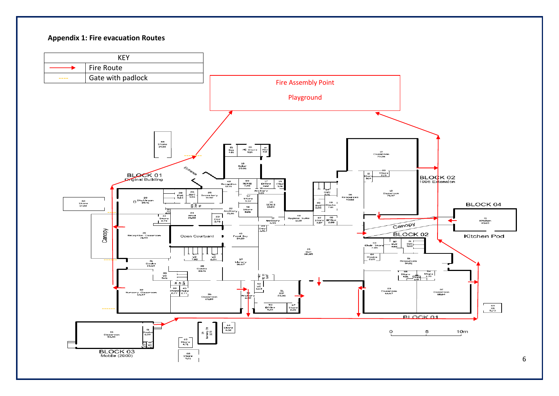#### **Appendix 1: Fire evacuation Routes**